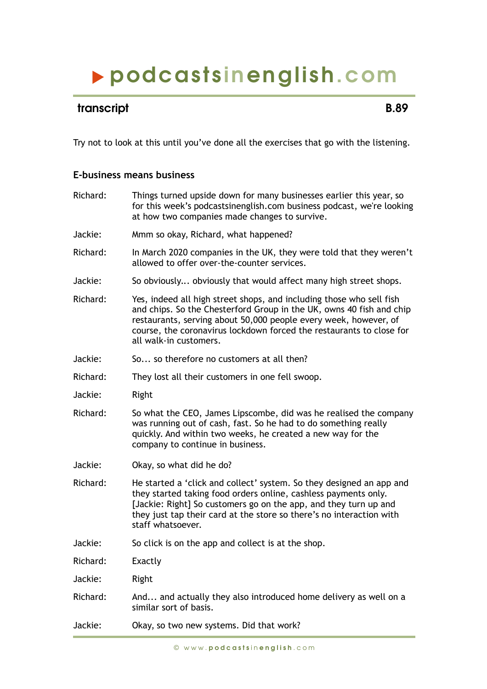## podcasts inenglish.com

## transcript **B.89**

Try not to look at this until you've done all the exercises that go with the listening.

## **E-business means business**

| Jackie:<br>Mmm so okay, Richard, what happened?<br>Richard:<br>In March 2020 companies in the UK, they were told that they weren't<br>allowed to offer over-the-counter services.<br>Jackie:<br>So obviously obviously that would affect many high street shops.<br>Richard:<br>Yes, indeed all high street shops, and including those who sell fish<br>and chips. So the Chesterford Group in the UK, owns 40 fish and chip<br>restaurants, serving about 50,000 people every week, however, of<br>course, the coronavirus lockdown forced the restaurants to close for<br>all walk-in customers.<br>Jackie:<br>So so therefore no customers at all then?<br>Richard:<br>They lost all their customers in one fell swoop.<br>Jackie:<br>Right<br>Richard:<br>So what the CEO, James Lipscombe, did was he realised the company<br>was running out of cash, fast. So he had to do something really<br>quickly. And within two weeks, he created a new way for the<br>company to continue in business.<br>Jackie:<br>Okay, so what did he do?<br>Richard:<br>He started a 'click and collect' system. So they designed an app and<br>they started taking food orders online, cashless payments only.<br>[Jackie: Right] So customers go on the app, and they turn up and<br>they just tap their card at the store so there's no interaction with<br>staff whatsoever.<br>Jackie:<br>So click is on the app and collect is at the shop.<br>Richard:<br>Exactly<br>Jackie:<br>Right<br>Richard:<br>And and actually they also introduced home delivery as well on a<br>similar sort of basis.<br>Jackie:<br>Okay, so two new systems. Did that work? | Richard: | Things turned upside down for many businesses earlier this year, so<br>for this week's podcastsinenglish.com business podcast, we're looking<br>at how two companies made changes to survive. |
|---------------------------------------------------------------------------------------------------------------------------------------------------------------------------------------------------------------------------------------------------------------------------------------------------------------------------------------------------------------------------------------------------------------------------------------------------------------------------------------------------------------------------------------------------------------------------------------------------------------------------------------------------------------------------------------------------------------------------------------------------------------------------------------------------------------------------------------------------------------------------------------------------------------------------------------------------------------------------------------------------------------------------------------------------------------------------------------------------------------------------------------------------------------------------------------------------------------------------------------------------------------------------------------------------------------------------------------------------------------------------------------------------------------------------------------------------------------------------------------------------------------------------------------------------------------------------------------------------------------------------------------------------|----------|-----------------------------------------------------------------------------------------------------------------------------------------------------------------------------------------------|
|                                                                                                                                                                                                                                                                                                                                                                                                                                                                                                                                                                                                                                                                                                                                                                                                                                                                                                                                                                                                                                                                                                                                                                                                                                                                                                                                                                                                                                                                                                                                                                                                                                                   |          |                                                                                                                                                                                               |
|                                                                                                                                                                                                                                                                                                                                                                                                                                                                                                                                                                                                                                                                                                                                                                                                                                                                                                                                                                                                                                                                                                                                                                                                                                                                                                                                                                                                                                                                                                                                                                                                                                                   |          |                                                                                                                                                                                               |
|                                                                                                                                                                                                                                                                                                                                                                                                                                                                                                                                                                                                                                                                                                                                                                                                                                                                                                                                                                                                                                                                                                                                                                                                                                                                                                                                                                                                                                                                                                                                                                                                                                                   |          |                                                                                                                                                                                               |
|                                                                                                                                                                                                                                                                                                                                                                                                                                                                                                                                                                                                                                                                                                                                                                                                                                                                                                                                                                                                                                                                                                                                                                                                                                                                                                                                                                                                                                                                                                                                                                                                                                                   |          |                                                                                                                                                                                               |
|                                                                                                                                                                                                                                                                                                                                                                                                                                                                                                                                                                                                                                                                                                                                                                                                                                                                                                                                                                                                                                                                                                                                                                                                                                                                                                                                                                                                                                                                                                                                                                                                                                                   |          |                                                                                                                                                                                               |
|                                                                                                                                                                                                                                                                                                                                                                                                                                                                                                                                                                                                                                                                                                                                                                                                                                                                                                                                                                                                                                                                                                                                                                                                                                                                                                                                                                                                                                                                                                                                                                                                                                                   |          |                                                                                                                                                                                               |
|                                                                                                                                                                                                                                                                                                                                                                                                                                                                                                                                                                                                                                                                                                                                                                                                                                                                                                                                                                                                                                                                                                                                                                                                                                                                                                                                                                                                                                                                                                                                                                                                                                                   |          |                                                                                                                                                                                               |
|                                                                                                                                                                                                                                                                                                                                                                                                                                                                                                                                                                                                                                                                                                                                                                                                                                                                                                                                                                                                                                                                                                                                                                                                                                                                                                                                                                                                                                                                                                                                                                                                                                                   |          |                                                                                                                                                                                               |
|                                                                                                                                                                                                                                                                                                                                                                                                                                                                                                                                                                                                                                                                                                                                                                                                                                                                                                                                                                                                                                                                                                                                                                                                                                                                                                                                                                                                                                                                                                                                                                                                                                                   |          |                                                                                                                                                                                               |
|                                                                                                                                                                                                                                                                                                                                                                                                                                                                                                                                                                                                                                                                                                                                                                                                                                                                                                                                                                                                                                                                                                                                                                                                                                                                                                                                                                                                                                                                                                                                                                                                                                                   |          |                                                                                                                                                                                               |
|                                                                                                                                                                                                                                                                                                                                                                                                                                                                                                                                                                                                                                                                                                                                                                                                                                                                                                                                                                                                                                                                                                                                                                                                                                                                                                                                                                                                                                                                                                                                                                                                                                                   |          |                                                                                                                                                                                               |
|                                                                                                                                                                                                                                                                                                                                                                                                                                                                                                                                                                                                                                                                                                                                                                                                                                                                                                                                                                                                                                                                                                                                                                                                                                                                                                                                                                                                                                                                                                                                                                                                                                                   |          |                                                                                                                                                                                               |
|                                                                                                                                                                                                                                                                                                                                                                                                                                                                                                                                                                                                                                                                                                                                                                                                                                                                                                                                                                                                                                                                                                                                                                                                                                                                                                                                                                                                                                                                                                                                                                                                                                                   |          |                                                                                                                                                                                               |
|                                                                                                                                                                                                                                                                                                                                                                                                                                                                                                                                                                                                                                                                                                                                                                                                                                                                                                                                                                                                                                                                                                                                                                                                                                                                                                                                                                                                                                                                                                                                                                                                                                                   |          |                                                                                                                                                                                               |
|                                                                                                                                                                                                                                                                                                                                                                                                                                                                                                                                                                                                                                                                                                                                                                                                                                                                                                                                                                                                                                                                                                                                                                                                                                                                                                                                                                                                                                                                                                                                                                                                                                                   |          |                                                                                                                                                                                               |